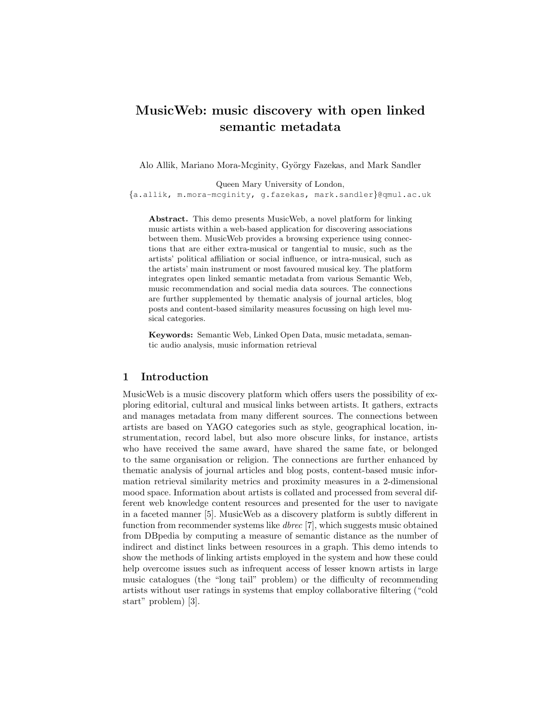# MusicWeb: music discovery with open linked semantic metadata

Alo Allik, Mariano Mora-Mcginity, György Fazekas, and Mark Sandler

Queen Mary University of London,

{a.allik, m.mora-mcginity, g.fazekas, mark.sandler}@qmul.ac.uk

Abstract. This demo presents MusicWeb, a novel platform for linking music artists within a web-based application for discovering associations between them. MusicWeb provides a browsing experience using connections that are either extra-musical or tangential to music, such as the artists' political affiliation or social influence, or intra-musical, such as the artists' main instrument or most favoured musical key. The platform integrates open linked semantic metadata from various Semantic Web, music recommendation and social media data sources. The connections are further supplemented by thematic analysis of journal articles, blog posts and content-based similarity measures focussing on high level musical categories.

Keywords: Semantic Web, Linked Open Data, music metadata, semantic audio analysis, music information retrieval

#### 1 Introduction

MusicWeb is a music discovery platform which offers users the possibility of exploring editorial, cultural and musical links between artists. It gathers, extracts and manages metadata from many different sources. The connections between artists are based on YAGO categories such as style, geographical location, instrumentation, record label, but also more obscure links, for instance, artists who have received the same award, have shared the same fate, or belonged to the same organisation or religion. The connections are further enhanced by thematic analysis of journal articles and blog posts, content-based music information retrieval similarity metrics and proximity measures in a 2-dimensional mood space. Information about artists is collated and processed from several different web knowledge content resources and presented for the user to navigate in a faceted manner [5]. MusicWeb as a discovery platform is subtly different in function from recommender systems like dbrec [7], which suggests music obtained from DBpedia by computing a measure of semantic distance as the number of indirect and distinct links between resources in a graph. This demo intends to show the methods of linking artists employed in the system and how these could help overcome issues such as infrequent access of lesser known artists in large music catalogues (the "long tail" problem) or the difficulty of recommending artists without user ratings in systems that employ collaborative filtering ("cold start" problem) [3].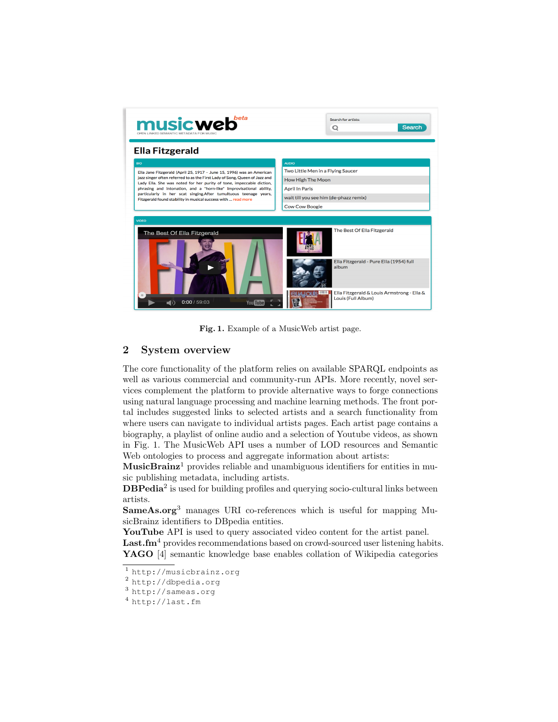

Fig. 1. Example of a MusicWeb artist page.

## 2 System overview

The core functionality of the platform relies on available SPARQL endpoints as well as various commercial and community-run APIs. More recently, novel services complement the platform to provide alternative ways to forge connections using natural language processing and machine learning methods. The front portal includes suggested links to selected artists and a search functionality from where users can navigate to individual artists pages. Each artist page contains a biography, a playlist of online audio and a selection of Youtube videos, as shown in Fig. 1. The MusicWeb API uses a number of LOD resources and Semantic Web ontologies to process and aggregate information about artists:

 $MusicBrainz<sup>1</sup>$  provides reliable and unambiguous identifiers for entities in music publishing metadata, including artists.

DBPedia<sup>2</sup> is used for building profiles and querying socio-cultural links between artists.

SameAs.org<sup>3</sup> manages URI co-references which is useful for mapping MusicBrainz identifiers to DBpedia entities.

YouTube API is used to query associated video content for the artist panel. Last.fm<sup>4</sup> provides recommendations based on crowd-sourced user listening habits. YAGO [4] semantic knowledge base enables collation of Wikipedia categories

 $\overline{1}$  http://musicbrainz.org

<sup>2</sup> http://dbpedia.org

<sup>3</sup> http://sameas.org

<sup>4</sup> http://last.fm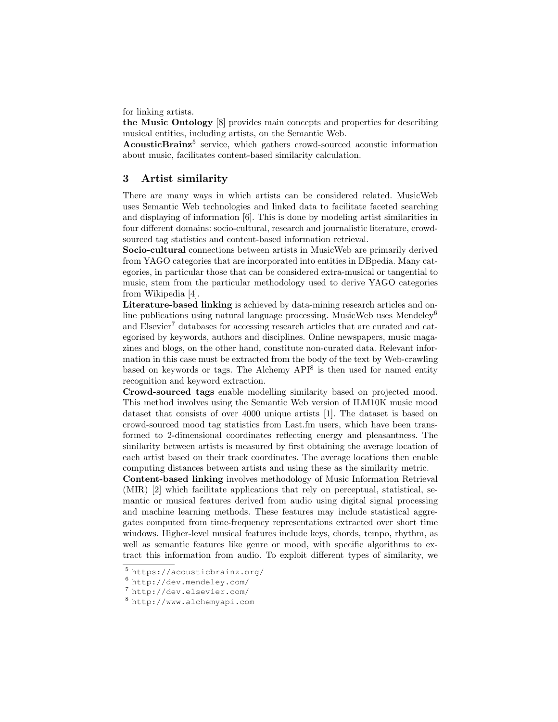for linking artists.

the Music Ontology [8] provides main concepts and properties for describing musical entities, including artists, on the Semantic Web.

AcousticBrainz<sup>5</sup> service, which gathers crowd-sourced acoustic information about music, facilitates content-based similarity calculation.

#### 3 Artist similarity

There are many ways in which artists can be considered related. MusicWeb uses Semantic Web technologies and linked data to facilitate faceted searching and displaying of information [6]. This is done by modeling artist similarities in four different domains: socio-cultural, research and journalistic literature, crowdsourced tag statistics and content-based information retrieval.

Socio-cultural connections between artists in MusicWeb are primarily derived from YAGO categories that are incorporated into entities in DBpedia. Many categories, in particular those that can be considered extra-musical or tangential to music, stem from the particular methodology used to derive YAGO categories from Wikipedia [4].

Literature-based linking is achieved by data-mining research articles and online publications using natural language processing. MusicWeb uses Mendeley<sup>6</sup> and Elsevier<sup>7</sup> databases for accessing research articles that are curated and categorised by keywords, authors and disciplines. Online newspapers, music magazines and blogs, on the other hand, constitute non-curated data. Relevant information in this case must be extracted from the body of the text by Web-crawling based on keywords or tags. The Alchemy  $API^8$  is then used for named entity recognition and keyword extraction.

Crowd-sourced tags enable modelling similarity based on projected mood. This method involves using the Semantic Web version of ILM10K music mood dataset that consists of over 4000 unique artists [1]. The dataset is based on crowd-sourced mood tag statistics from Last.fm users, which have been transformed to 2-dimensional coordinates reflecting energy and pleasantness. The similarity between artists is measured by first obtaining the average location of each artist based on their track coordinates. The average locations then enable computing distances between artists and using these as the similarity metric.

Content-based linking involves methodology of Music Information Retrieval (MIR) [2] which facilitate applications that rely on perceptual, statistical, semantic or musical features derived from audio using digital signal processing and machine learning methods. These features may include statistical aggregates computed from time-frequency representations extracted over short time windows. Higher-level musical features include keys, chords, tempo, rhythm, as well as semantic features like genre or mood, with specific algorithms to extract this information from audio. To exploit different types of similarity, we

<sup>5</sup> https://acousticbrainz.org/

<sup>6</sup> http://dev.mendeley.com/

<sup>7</sup> http://dev.elsevier.com/

<sup>8</sup> http://www.alchemyapi.com